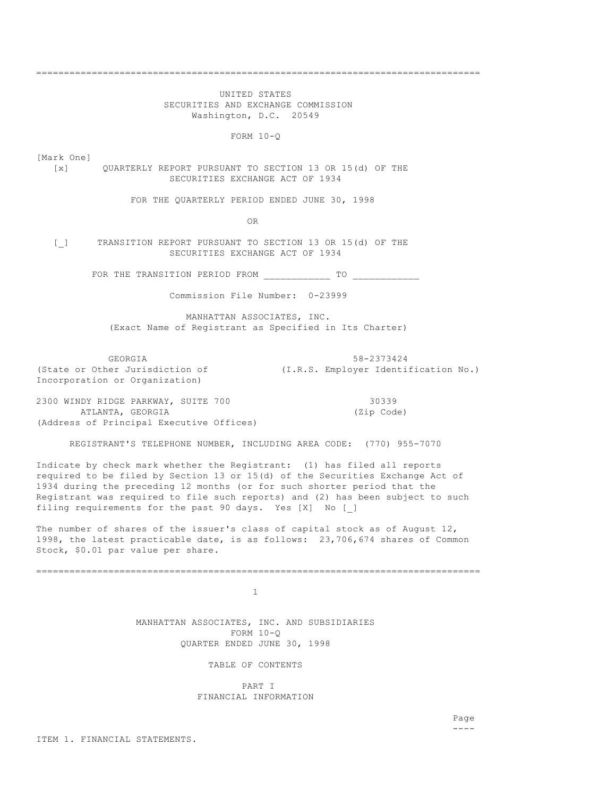================================================================================

 UNITED STATES SECURITIES AND EXCHANGE COMMISSION Washington, D.C. 20549

FORM 10-Q

[Mark One]

 [x] QUARTERLY REPORT PURSUANT TO SECTION 13 OR 15(d) OF THE SECURITIES EXCHANGE ACT OF 1934

FOR THE QUARTERLY PERIOD ENDED JUNE 30, 1998

OR

[\_] TRANSITION REPORT PURSUANT TO SECTION 13 OR 15(d) OF THE SECURITIES EXCHANGE ACT OF 1934

FOR THE TRANSITION PERIOD FROM \_\_\_\_\_\_\_\_\_\_\_\_\_\_\_\_ TO \_\_\_\_\_

Commission File Number: 0-23999

 MANHATTAN ASSOCIATES, INC. (Exact Name of Registrant as Specified in Its Charter)

GEORGIA 58-2373424 (State or Other Jurisdiction of (I.R.S. Employer Identification No.) Incorporation or Organization)

2300 WINDY RIDGE PARKWAY, SUITE 700 30339 ATLANTA, GEORGIA (Zip Code) (Address of Principal Executive Offices)

REGISTRANT'S TELEPHONE NUMBER, INCLUDING AREA CODE: (770) 955-7070

Indicate by check mark whether the Registrant: (1) has filed all reports required to be filed by Section 13 or 15(d) of the Securities Exchange Act of 1934 during the preceding 12 months (or for such shorter period that the Registrant was required to file such reports) and (2) has been subject to such filing requirements for the past 90 days. Yes [X] No [ ]

The number of shares of the issuer's class of capital stock as of August 12, 1998, the latest practicable date, is as follows: 23,706,674 shares of Common Stock, \$0.01 par value per share.

================================================================================

1

 MANHATTAN ASSOCIATES, INC. AND SUBSIDIARIES FORM 10-Q QUARTER ENDED JUNE 30, 1998

TABLE OF CONTENTS

 PART I FINANCIAL INFORMATION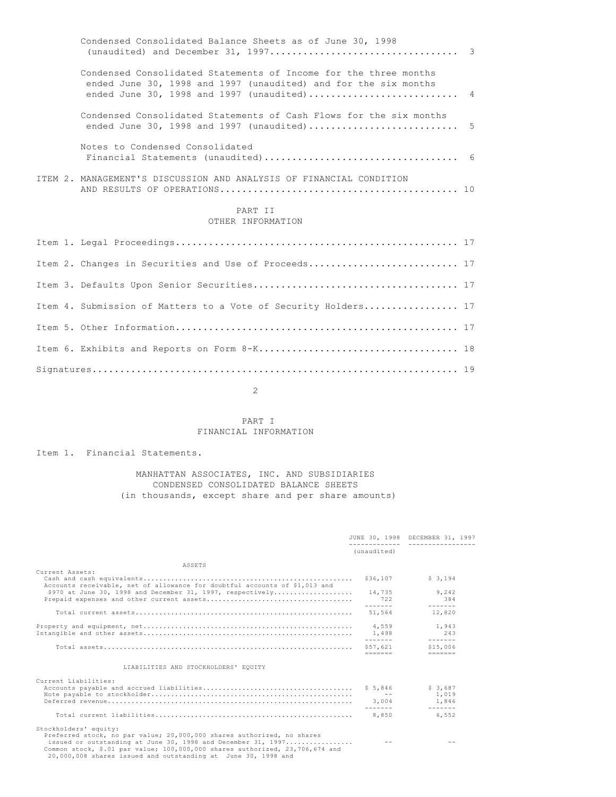|  | Condensed Consolidated Balance Sheets as of June 30, 1998                                                                                                                         |  |
|--|-----------------------------------------------------------------------------------------------------------------------------------------------------------------------------------|--|
|  | Condensed Consolidated Statements of Income for the three months<br>ended June 30, 1998 and 1997 (unaudited) and for the six months<br>ended June 30, 1998 and 1997 (unaudited) 4 |  |
|  | Condensed Consolidated Statements of Cash Flows for the six months<br>ended June 30, 1998 and 1997 (unaudited)  5                                                                 |  |
|  | Notes to Condensed Consolidated                                                                                                                                                   |  |
|  | ITEM 2. MANAGEMENT'S DISCUSSION AND ANALYSIS OF FINANCIAL CONDITION                                                                                                               |  |
|  | PART II<br>OTHER INFORMATION                                                                                                                                                      |  |
|  |                                                                                                                                                                                   |  |
|  | Item 2. Changes in Securities and Use of Proceeds 17                                                                                                                              |  |
|  |                                                                                                                                                                                   |  |
|  | Item 4. Submission of Matters to a Vote of Security Holders 17                                                                                                                    |  |

Item 5. Other Information................................................... 17 Item 6. Exhibits and Reports on Form 8-K.................................... 18 Signatures.................................................................. 19

## 2

# PART I FINANCIAL INFORMATION

Item 1. Financial Statements.

# MANHATTAN ASSOCIATES, INC. AND SUBSIDIARIES CONDENSED CONSOLIDATED BALANCE SHEETS (in thousands, except share and per share amounts)

|                                                                                                                                                                                                                                                                                                                  |                                                                                                  |               | JUNE 30, 1998 DECEMBER 31, 1997                                                                                                                                                                                                                                                                                                                                                                              |  |
|------------------------------------------------------------------------------------------------------------------------------------------------------------------------------------------------------------------------------------------------------------------------------------------------------------------|--------------------------------------------------------------------------------------------------|---------------|--------------------------------------------------------------------------------------------------------------------------------------------------------------------------------------------------------------------------------------------------------------------------------------------------------------------------------------------------------------------------------------------------------------|--|
|                                                                                                                                                                                                                                                                                                                  | (unaudited)                                                                                      |               |                                                                                                                                                                                                                                                                                                                                                                                                              |  |
| ASSETS                                                                                                                                                                                                                                                                                                           |                                                                                                  |               |                                                                                                                                                                                                                                                                                                                                                                                                              |  |
| Current Assets:<br>Accounts receivable, net of allowance for doubtful accounts of \$1,013 and                                                                                                                                                                                                                    | \$36,107                                                                                         |               | \$3.194                                                                                                                                                                                                                                                                                                                                                                                                      |  |
| \$970 at June 30, 1998 and December 31, 1997, respectively                                                                                                                                                                                                                                                       | --------                                                                                         | 14,735<br>722 | 9,242<br>384<br>$\frac{1}{2} \frac{1}{2} \frac{1}{2} \frac{1}{2} \frac{1}{2} \frac{1}{2} \frac{1}{2} \frac{1}{2} \frac{1}{2} \frac{1}{2} \frac{1}{2} \frac{1}{2} \frac{1}{2} \frac{1}{2} \frac{1}{2} \frac{1}{2} \frac{1}{2} \frac{1}{2} \frac{1}{2} \frac{1}{2} \frac{1}{2} \frac{1}{2} \frac{1}{2} \frac{1}{2} \frac{1}{2} \frac{1}{2} \frac{1}{2} \frac{1}{2} \frac{1}{2} \frac{1}{2} \frac{1}{2} \frac{$ |  |
|                                                                                                                                                                                                                                                                                                                  | 51,564                                                                                           |               | 12,820                                                                                                                                                                                                                                                                                                                                                                                                       |  |
|                                                                                                                                                                                                                                                                                                                  | 4,559<br>1,498<br>-------                                                                        |               | 1,943<br>243<br>$- - - - - - -$                                                                                                                                                                                                                                                                                                                                                                              |  |
|                                                                                                                                                                                                                                                                                                                  | $\qquad \qquad \doteq\qquad \qquad \doteq\qquad \qquad \qquad \qquad \doteq\qquad \qquad \qquad$ | \$57.621      | \$15,006<br>$=$ $=$ $=$ $=$ $=$ $=$                                                                                                                                                                                                                                                                                                                                                                          |  |
| LIABILITIES AND STOCKHOLDERS' EOUITY                                                                                                                                                                                                                                                                             |                                                                                                  |               |                                                                                                                                                                                                                                                                                                                                                                                                              |  |
| Current Liabilities:                                                                                                                                                                                                                                                                                             | \$5,846<br>3,004                                                                                 |               | \$ 3,687<br>1,019<br>1,846                                                                                                                                                                                                                                                                                                                                                                                   |  |
|                                                                                                                                                                                                                                                                                                                  | --------<br>8,850                                                                                |               | $- - - - - - -$<br>6,552                                                                                                                                                                                                                                                                                                                                                                                     |  |
| Stockholders' equity:<br>Preferred stock, no par value; 20,000,000 shares authorized, no shares<br>issued or outstanding at June 30, 1998 and December 31, 1997<br>Common stock, \$.01 par value; 100,000,000 shares authorized, 23,706,674 and<br>20,000,008 shares issued and outstanding at June 30, 1998 and |                                                                                                  |               |                                                                                                                                                                                                                                                                                                                                                                                                              |  |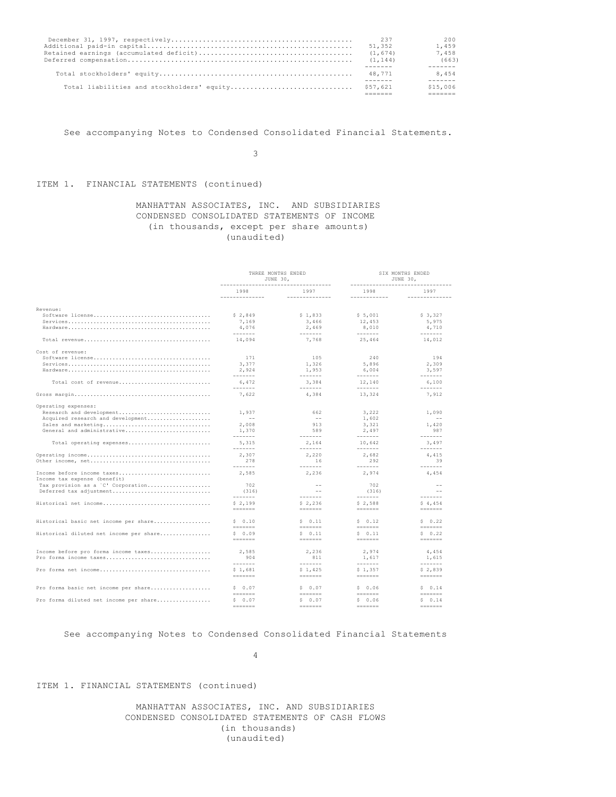|                                                     | 237<br>51,352<br>(1, 674)<br>(1, 144) | 200<br>1,459<br>7,458<br>(663) |
|-----------------------------------------------------|---------------------------------------|--------------------------------|
|                                                     | 48,771                                | 8,454                          |
| Total liabilities and stockholders' equity \$57,621 |                                       | \$15,006                       |

See accompanying Notes to Condensed Consolidated Financial Statements.

3

# ITEM 1. FINANCIAL STATEMENTS (continued)

# MANHATTAN ASSOCIATES, INC. AND SUBSIDIARIES CONDENSED CONSOLIDATED STATEMENTS OF INCOME (in thousands, except per share amounts) (unaudited)

|                                                            | THREE MONTHS ENDED<br>JUNE 30,<br>------------------------------------- |                                                                                                                                                                                                                                                                                                                                                                                                                                                                                                                                                                  | SIX MONTHS ENDED<br>JUNE 30,<br>------------------------ |                                                                                                                                                                                                                                                                                                                                                                                                                                                                                           |  |
|------------------------------------------------------------|-------------------------------------------------------------------------|------------------------------------------------------------------------------------------------------------------------------------------------------------------------------------------------------------------------------------------------------------------------------------------------------------------------------------------------------------------------------------------------------------------------------------------------------------------------------------------------------------------------------------------------------------------|----------------------------------------------------------|-------------------------------------------------------------------------------------------------------------------------------------------------------------------------------------------------------------------------------------------------------------------------------------------------------------------------------------------------------------------------------------------------------------------------------------------------------------------------------------------|--|
|                                                            | 1998<br>--------------                                                  | 1997<br>--------------                                                                                                                                                                                                                                                                                                                                                                                                                                                                                                                                           | 1998<br>------------                                     | 1997<br>--------------                                                                                                                                                                                                                                                                                                                                                                                                                                                                    |  |
|                                                            |                                                                         |                                                                                                                                                                                                                                                                                                                                                                                                                                                                                                                                                                  |                                                          |                                                                                                                                                                                                                                                                                                                                                                                                                                                                                           |  |
| Revenue:                                                   | \$2,849                                                                 | \$1,833                                                                                                                                                                                                                                                                                                                                                                                                                                                                                                                                                          | \$5,001                                                  | \$3,327                                                                                                                                                                                                                                                                                                                                                                                                                                                                                   |  |
| $Services$                                                 | 7,169                                                                   | 3,466                                                                                                                                                                                                                                                                                                                                                                                                                                                                                                                                                            | 12,453                                                   | 5,975                                                                                                                                                                                                                                                                                                                                                                                                                                                                                     |  |
|                                                            | 4.076<br>--------                                                       | 2,469<br>$- - - - - - -$                                                                                                                                                                                                                                                                                                                                                                                                                                                                                                                                         | 8,010<br>--------                                        | 4,710<br>$- - - - - - -$                                                                                                                                                                                                                                                                                                                                                                                                                                                                  |  |
|                                                            | 14,094                                                                  | 7,768                                                                                                                                                                                                                                                                                                                                                                                                                                                                                                                                                            | 25,464                                                   | 14,012                                                                                                                                                                                                                                                                                                                                                                                                                                                                                    |  |
| Cost of revenue:                                           |                                                                         |                                                                                                                                                                                                                                                                                                                                                                                                                                                                                                                                                                  |                                                          |                                                                                                                                                                                                                                                                                                                                                                                                                                                                                           |  |
|                                                            | 171                                                                     | 105                                                                                                                                                                                                                                                                                                                                                                                                                                                                                                                                                              | 240                                                      | 194                                                                                                                                                                                                                                                                                                                                                                                                                                                                                       |  |
|                                                            | 3,377                                                                   | 1,326                                                                                                                                                                                                                                                                                                                                                                                                                                                                                                                                                            | 5,896                                                    | 2,309                                                                                                                                                                                                                                                                                                                                                                                                                                                                                     |  |
|                                                            | 2,924<br>--------                                                       | 1,953<br>$- - - - - - -$                                                                                                                                                                                                                                                                                                                                                                                                                                                                                                                                         | 6,004<br>$- - - - - - -$                                 | 3,597<br>$- - - - - - -$                                                                                                                                                                                                                                                                                                                                                                                                                                                                  |  |
| Total cost of revenue                                      | 6.472<br>-------                                                        | 3.384<br>$- - - - - - -$                                                                                                                                                                                                                                                                                                                                                                                                                                                                                                                                         | 12,140<br>$- - - - - - -$                                | 6,100<br>$- - - - - - -$                                                                                                                                                                                                                                                                                                                                                                                                                                                                  |  |
|                                                            | 7,622                                                                   | 4,384                                                                                                                                                                                                                                                                                                                                                                                                                                                                                                                                                            | 13,324                                                   | 7,912                                                                                                                                                                                                                                                                                                                                                                                                                                                                                     |  |
| Operating expenses:                                        |                                                                         |                                                                                                                                                                                                                                                                                                                                                                                                                                                                                                                                                                  |                                                          |                                                                                                                                                                                                                                                                                                                                                                                                                                                                                           |  |
| Research and development                                   | 1,937                                                                   | 662                                                                                                                                                                                                                                                                                                                                                                                                                                                                                                                                                              | 3,222                                                    | 1,090                                                                                                                                                                                                                                                                                                                                                                                                                                                                                     |  |
| Acquired research and development                          | $- -$                                                                   | $-$                                                                                                                                                                                                                                                                                                                                                                                                                                                                                                                                                              | 1,602                                                    | $\sim$                                                                                                                                                                                                                                                                                                                                                                                                                                                                                    |  |
| Sales and marketing                                        | 2.008                                                                   | 913<br>589                                                                                                                                                                                                                                                                                                                                                                                                                                                                                                                                                       | 3,321                                                    | 1,420<br>987                                                                                                                                                                                                                                                                                                                                                                                                                                                                              |  |
| General and administrative                                 | 1,370<br>--------                                                       | $- - - - - - -$                                                                                                                                                                                                                                                                                                                                                                                                                                                                                                                                                  | 2,497<br>--------                                        | $- - - - - - -$                                                                                                                                                                                                                                                                                                                                                                                                                                                                           |  |
| Total operating expenses                                   | 5.315<br>--------                                                       | 2.164<br>$- - - - - - -$                                                                                                                                                                                                                                                                                                                                                                                                                                                                                                                                         | 10,642<br>--------                                       | 3,497<br>-------                                                                                                                                                                                                                                                                                                                                                                                                                                                                          |  |
|                                                            | 2.307                                                                   | 2.220                                                                                                                                                                                                                                                                                                                                                                                                                                                                                                                                                            | 2,682                                                    | 4,415                                                                                                                                                                                                                                                                                                                                                                                                                                                                                     |  |
|                                                            | 278<br>--------                                                         | 16<br>$- - - - - - -$                                                                                                                                                                                                                                                                                                                                                                                                                                                                                                                                            | 292<br>--------                                          | 39<br>$- - - - - - -$                                                                                                                                                                                                                                                                                                                                                                                                                                                                     |  |
| Income before income taxes<br>Income tax expense (benefit) | 2,585                                                                   | 2,236                                                                                                                                                                                                                                                                                                                                                                                                                                                                                                                                                            | 2,974                                                    | 4,454                                                                                                                                                                                                                                                                                                                                                                                                                                                                                     |  |
| Tax provision as a 'C' Corporation                         | 702                                                                     | $-$                                                                                                                                                                                                                                                                                                                                                                                                                                                                                                                                                              | 702                                                      | $\sim$                                                                                                                                                                                                                                                                                                                                                                                                                                                                                    |  |
| Deferred tax adjustment                                    | (316)                                                                   | $-$                                                                                                                                                                                                                                                                                                                                                                                                                                                                                                                                                              | (316)                                                    | $\overline{a}$                                                                                                                                                                                                                                                                                                                                                                                                                                                                            |  |
|                                                            | -------                                                                 | $- - - - - - -$                                                                                                                                                                                                                                                                                                                                                                                                                                                                                                                                                  | -------                                                  | -------                                                                                                                                                                                                                                                                                                                                                                                                                                                                                   |  |
| Historical net income                                      | \$2,199<br>$=$ = = = = = =                                              | \$2,236<br>$\qquad \qquad \doteq \qquad \qquad \doteq \qquad \qquad \doteq \qquad \qquad \doteq \qquad \qquad \doteq \qquad \qquad \doteq \qquad \qquad \doteq \qquad \qquad \doteq \qquad \qquad \doteq \qquad \qquad \doteq \qquad \qquad \doteq \qquad \qquad \doteq \qquad \qquad \doteq \qquad \qquad \doteq \qquad \qquad \doteq \qquad \qquad \doteq \qquad \qquad \doteq \qquad \qquad \doteq \qquad \qquad \doteq \qquad \qquad \doteq \qquad \qquad \doteq \qquad \qquad \doteq$                                                                       | \$2,588<br>$=$ = = = = = =                               | \$4,454<br>$=$ = = = = = =                                                                                                                                                                                                                                                                                                                                                                                                                                                                |  |
| Historical basic net income per share                      | \$0.10                                                                  | $S = 0.11$                                                                                                                                                                                                                                                                                                                                                                                                                                                                                                                                                       | $S = 0.12$                                               | $S = 0.22$                                                                                                                                                                                                                                                                                                                                                                                                                                                                                |  |
| Historical diluted net income per share                    | $=$ = = = = = =<br>\$0.09                                               | $\qquad \qquad \doteq \qquad \qquad \doteq \qquad \qquad \doteq \qquad \qquad \doteq \qquad \qquad \doteq \qquad \qquad \doteq \qquad \qquad \doteq \qquad \qquad \doteq \qquad \qquad \doteq \qquad \qquad \doteq \qquad \qquad \doteq \qquad \qquad \doteq \qquad \qquad \doteq \qquad \qquad \doteq \qquad \qquad \doteq \qquad \qquad \doteq \qquad \qquad \doteq \qquad \qquad \doteq \qquad \qquad \doteq \qquad \qquad \doteq \qquad \qquad \doteq \qquad \qquad \doteq$<br>\$0.11                                                                        | $=$ = = = = = =<br>\$0.11                                | $=$ = = = = = =<br>\$0.22                                                                                                                                                                                                                                                                                                                                                                                                                                                                 |  |
|                                                            |                                                                         |                                                                                                                                                                                                                                                                                                                                                                                                                                                                                                                                                                  |                                                          |                                                                                                                                                                                                                                                                                                                                                                                                                                                                                           |  |
| Income before pro forma income taxes                       | 2,585                                                                   | 2,236                                                                                                                                                                                                                                                                                                                                                                                                                                                                                                                                                            | 2,974                                                    | 4,454                                                                                                                                                                                                                                                                                                                                                                                                                                                                                     |  |
| Pro forma income taxes                                     | 904                                                                     | 811                                                                                                                                                                                                                                                                                                                                                                                                                                                                                                                                                              | 1.617                                                    | 1,615                                                                                                                                                                                                                                                                                                                                                                                                                                                                                     |  |
| Pro forma net income                                       | --------<br>\$1.681                                                     | $- - - - - - -$<br>\$1.425                                                                                                                                                                                                                                                                                                                                                                                                                                                                                                                                       | --------<br>\$1.357                                      | $- - - - - - -$<br>\$2.839                                                                                                                                                                                                                                                                                                                                                                                                                                                                |  |
|                                                            | $=$ = = = = = =                                                         |                                                                                                                                                                                                                                                                                                                                                                                                                                                                                                                                                                  |                                                          |                                                                                                                                                                                                                                                                                                                                                                                                                                                                                           |  |
| Pro forma basic net income per share                       | \$0.07                                                                  | \$0.07                                                                                                                                                                                                                                                                                                                                                                                                                                                                                                                                                           | \$0.06                                                   | \$0.14                                                                                                                                                                                                                                                                                                                                                                                                                                                                                    |  |
|                                                            |                                                                         |                                                                                                                                                                                                                                                                                                                                                                                                                                                                                                                                                                  | $------$                                                 | $------$                                                                                                                                                                                                                                                                                                                                                                                                                                                                                  |  |
| Pro forma diluted net income per share                     | \$0.07<br>$=$ = = = = = =                                               | \$0.07<br>$\qquad \qquad \dfrac{}{}\qquad \qquad \dfrac{}{}\qquad \dfrac{}{}\qquad \dfrac{}{}\qquad \dfrac{}{}\qquad \dfrac{}{}\qquad \dfrac{}{}\qquad \dfrac{}{}\qquad \dfrac{}{}\qquad \dfrac{}{}\qquad \dfrac{}{}\qquad \dfrac{}{}\qquad \dfrac{}{}\qquad \dfrac{}{}\qquad \dfrac{}{}\qquad \dfrac{}{}\qquad \dfrac{}{}\qquad \dfrac{}{}\qquad \dfrac{}{}\qquad \dfrac{}{}\qquad \dfrac{}{}\qquad \dfrac{}{}\qquad \dfrac{}{}\qquad \dfrac{}{}\qquad \dfrac{}{}\qquad \dfrac{}{}\qquad \dfrac{}{}\qquad \dfrac{}{}\qquad \dfrac{}{}\qquad \dfrac{}{}\qquad \$ | \$0.06<br>$=$ = = = = = =                                | \$0.14<br>$\qquad \qquad \doteq \qquad \qquad \doteq \qquad \qquad \doteq \qquad \qquad \doteq \qquad \qquad \doteq \qquad \qquad \doteq \qquad \qquad \doteq \qquad \qquad \doteq \qquad \qquad \doteq \qquad \qquad \doteq \qquad \qquad \doteq \qquad \qquad \doteq \qquad \qquad \doteq \qquad \qquad \doteq \qquad \qquad \doteq \qquad \qquad \doteq \qquad \qquad \doteq \qquad \qquad \doteq \qquad \qquad \doteq \qquad \qquad \doteq \qquad \qquad \doteq \qquad \qquad \doteq$ |  |
|                                                            |                                                                         |                                                                                                                                                                                                                                                                                                                                                                                                                                                                                                                                                                  |                                                          |                                                                                                                                                                                                                                                                                                                                                                                                                                                                                           |  |

## See accompanying Notes to Condensed Consolidated Financial Statements

4

## ITEM 1. FINANCIAL STATEMENTS (continued)

 MANHATTAN ASSOCIATES, INC. AND SUBSIDIARIES CONDENSED CONSOLIDATED STATEMENTS OF CASH FLOWS (in thousands) (unaudited)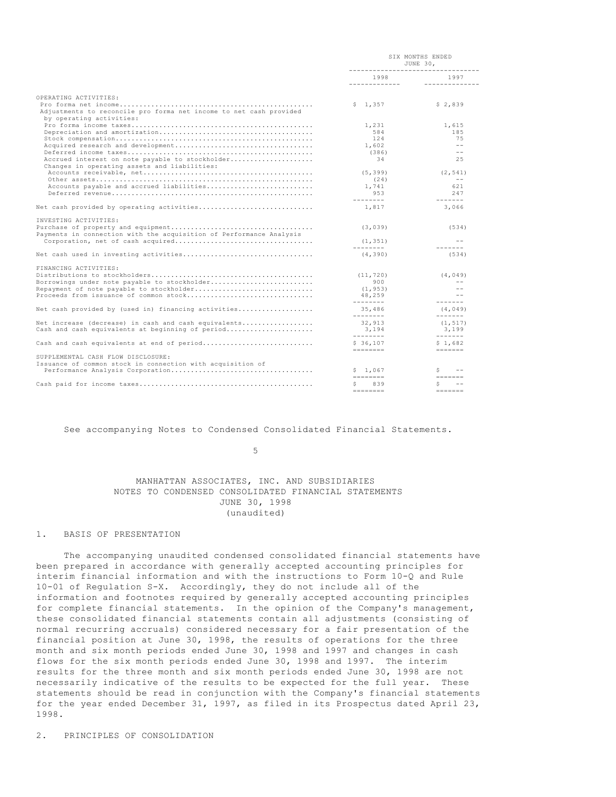|                                                                                                                                                                                          | SIX MONTHS ENDED<br>JUNE 30,<br>-----------------------------------                                                                                                                                                                                                                                                                                                                                                                                                                                                                                                |                                                                                                                                                                                                                                                                                                                                                                                                                                                                                                             |  |
|------------------------------------------------------------------------------------------------------------------------------------------------------------------------------------------|--------------------------------------------------------------------------------------------------------------------------------------------------------------------------------------------------------------------------------------------------------------------------------------------------------------------------------------------------------------------------------------------------------------------------------------------------------------------------------------------------------------------------------------------------------------------|-------------------------------------------------------------------------------------------------------------------------------------------------------------------------------------------------------------------------------------------------------------------------------------------------------------------------------------------------------------------------------------------------------------------------------------------------------------------------------------------------------------|--|
|                                                                                                                                                                                          | 1998                                                                                                                                                                                                                                                                                                                                                                                                                                                                                                                                                               | 1997<br>_______________                                                                                                                                                                                                                                                                                                                                                                                                                                                                                     |  |
| OPERATING ACTIVITIES:<br>Adjustments to reconcile pro forma net income to net cash provided<br>by operating activities:                                                                  | \$1,357<br>1,231<br>584<br>124<br>1,602<br>(386)                                                                                                                                                                                                                                                                                                                                                                                                                                                                                                                   | \$2,839<br>1,615<br>185<br>75<br>$\sim$ $-$<br>$\sim$ $-$                                                                                                                                                                                                                                                                                                                                                                                                                                                   |  |
| Accrued interest on note payable to stockholder<br>Changes in operating assets and liabilities:<br>Accounts payable and accrued liabilities<br>Net cash provided by operating activities | 34<br>(5, 399)<br>(24)<br>1,741<br>953<br>$\begin{array}{cccccccccc} \multicolumn{2}{c}{} & \multicolumn{2}{c}{} & \multicolumn{2}{c}{} & \multicolumn{2}{c}{} & \multicolumn{2}{c}{} & \multicolumn{2}{c}{} & \multicolumn{2}{c}{} & \multicolumn{2}{c}{} & \multicolumn{2}{c}{} & \multicolumn{2}{c}{} & \multicolumn{2}{c}{} & \multicolumn{2}{c}{} & \multicolumn{2}{c}{} & \multicolumn{2}{c}{} & \multicolumn{2}{c}{} & \multicolumn{2}{c}{} & \multicolumn{2}{c}{} & \multicolumn{2}{c}{} & \multicolumn{2}{c}{} & \mult$<br>1,817                          | 25<br>(2, 541)<br>$\sim$ $-$<br>621<br>247<br>$\frac{1}{2} \frac{1}{2} \frac{1}{2} \frac{1}{2} \frac{1}{2} \frac{1}{2} \frac{1}{2} \frac{1}{2} \frac{1}{2} \frac{1}{2} \frac{1}{2} \frac{1}{2} \frac{1}{2} \frac{1}{2} \frac{1}{2} \frac{1}{2} \frac{1}{2} \frac{1}{2} \frac{1}{2} \frac{1}{2} \frac{1}{2} \frac{1}{2} \frac{1}{2} \frac{1}{2} \frac{1}{2} \frac{1}{2} \frac{1}{2} \frac{1}{2} \frac{1}{2} \frac{1}{2} \frac{1}{2} \frac{$<br>3,066                                                         |  |
| INVESTING ACTIVITIES:                                                                                                                                                                    |                                                                                                                                                                                                                                                                                                                                                                                                                                                                                                                                                                    |                                                                                                                                                                                                                                                                                                                                                                                                                                                                                                             |  |
| Payments in connection with the acquisition of Performance Analysis                                                                                                                      | (3, 039)                                                                                                                                                                                                                                                                                                                                                                                                                                                                                                                                                           | (534)                                                                                                                                                                                                                                                                                                                                                                                                                                                                                                       |  |
|                                                                                                                                                                                          | (1, 351)<br>$\begin{array}{cccccccccc} \multicolumn{2}{c}{} & \multicolumn{2}{c}{} & \multicolumn{2}{c}{} & \multicolumn{2}{c}{} & \multicolumn{2}{c}{} & \multicolumn{2}{c}{} & \multicolumn{2}{c}{} & \multicolumn{2}{c}{} & \multicolumn{2}{c}{} & \multicolumn{2}{c}{} & \multicolumn{2}{c}{} & \multicolumn{2}{c}{} & \multicolumn{2}{c}{} & \multicolumn{2}{c}{} & \multicolumn{2}{c}{} & \multicolumn{2}{c}{} & \multicolumn{2}{c}{} & \multicolumn{2}{c}{} & \multicolumn{2}{c}{} & \mult$                                                                 | $ -$<br>$\frac{1}{2}$                                                                                                                                                                                                                                                                                                                                                                                                                                                                                       |  |
|                                                                                                                                                                                          | (4, 390)                                                                                                                                                                                                                                                                                                                                                                                                                                                                                                                                                           | (534)                                                                                                                                                                                                                                                                                                                                                                                                                                                                                                       |  |
| FINANCING ACTIVITIES:<br>Borrowings under note payable to stockholder<br>Repayment of note payable to stockholder<br>Proceeds from issuance of common stock                              | (11, 720)<br>900<br>(1, 953)<br>48,259<br>$- - - - - - - -$                                                                                                                                                                                                                                                                                                                                                                                                                                                                                                        | (4, 049)<br>$\sim$ $-$<br>$\sim$ $-$<br>$ -$<br>$\frac{1}{2} \frac{1}{2} \frac{1}{2} \frac{1}{2} \frac{1}{2} \frac{1}{2} \frac{1}{2} \frac{1}{2} \frac{1}{2} \frac{1}{2} \frac{1}{2} \frac{1}{2} \frac{1}{2} \frac{1}{2} \frac{1}{2} \frac{1}{2} \frac{1}{2} \frac{1}{2} \frac{1}{2} \frac{1}{2} \frac{1}{2} \frac{1}{2} \frac{1}{2} \frac{1}{2} \frac{1}{2} \frac{1}{2} \frac{1}{2} \frac{1}{2} \frac{1}{2} \frac{1}{2} \frac{1}{2} \frac{$                                                                |  |
| Net cash provided by (used in) financing activities                                                                                                                                      | 35,486<br>$\frac{1}{2}$                                                                                                                                                                                                                                                                                                                                                                                                                                                                                                                                            | (4, 049)<br>$- - - - - - -$                                                                                                                                                                                                                                                                                                                                                                                                                                                                                 |  |
| Net increase (decrease) in cash and cash equivalents<br>Cash and cash equivalents at beginning of period                                                                                 | 32,913<br>3,194                                                                                                                                                                                                                                                                                                                                                                                                                                                                                                                                                    | (1, 517)<br>3,199<br>$\begin{array}{cccccccccc} \multicolumn{2}{c}{} & \multicolumn{2}{c}{} & \multicolumn{2}{c}{} & \multicolumn{2}{c}{} & \multicolumn{2}{c}{} & \multicolumn{2}{c}{} & \multicolumn{2}{c}{} & \multicolumn{2}{c}{} & \multicolumn{2}{c}{} & \multicolumn{2}{c}{} & \multicolumn{2}{c}{} & \multicolumn{2}{c}{} & \multicolumn{2}{c}{} & \multicolumn{2}{c}{} & \multicolumn{2}{c}{} & \multicolumn{2}{c}{} & \multicolumn{2}{c}{} & \multicolumn{2}{c}{} & \multicolumn{2}{c}{} & \mult$ |  |
| Cash and cash equivalents at end of period                                                                                                                                               | \$36.107<br>$\qquad \qquad \dfrac{}{}\qquad \qquad \dfrac{}{}\qquad \qquad \dfrac{}{}\qquad \dfrac{}{}\qquad \dfrac{}{}\qquad \dfrac{}{}\qquad \dfrac{}{}\qquad \dfrac{}{}\qquad \dfrac{}{}\qquad \dfrac{}{}\qquad \dfrac{}{}\qquad \dfrac{}{}\qquad \dfrac{}{}\qquad \dfrac{}{}\qquad \dfrac{}{}\qquad \dfrac{}{}\qquad \dfrac{}{}\qquad \dfrac{}{}\qquad \dfrac{}{}\qquad \dfrac{}{}\qquad \dfrac{}{}\qquad \dfrac{}{}\qquad \dfrac{}{}\qquad \dfrac{}{}\qquad \dfrac{}{}\qquad \dfrac{}{}\qquad \dfrac{}{}\qquad \dfrac{}{}\qquad \dfrac{}{}\qquad \dfrac{}{}\$ | \$1,682<br>$\frac{1}{2}$                                                                                                                                                                                                                                                                                                                                                                                                                                                                                    |  |
| SUPPLEMENTAL CASH FLOW DISCLOSURE:<br>Issuance of common stock in connection with acquisition of                                                                                         | \$1.067<br>$\qquad \qquad \doteq\qquad \qquad \doteq\qquad \qquad \doteq\qquad \qquad \doteq\qquad \qquad \qquad$                                                                                                                                                                                                                                                                                                                                                                                                                                                  | Ŝ.<br>$=$ $=$ $=$ $=$ $=$ $=$                                                                                                                                                                                                                                                                                                                                                                                                                                                                               |  |
|                                                                                                                                                                                          | 839<br>$=$ = = = = = = =                                                                                                                                                                                                                                                                                                                                                                                                                                                                                                                                           | Ŝ.<br>$\sim$ $\sim$<br>$=$ = = = = = =                                                                                                                                                                                                                                                                                                                                                                                                                                                                      |  |

### See accompanying Notes to Condensed Consolidated Financial Statements.

 $\sim$  5

## MANHATTAN ASSOCIATES, INC. AND SUBSIDIARIES NOTES TO CONDENSED CONSOLIDATED FINANCIAL STATEMENTS JUNE 30, 1998 (unaudited)

## 1. BASIS OF PRESENTATION

 The accompanying unaudited condensed consolidated financial statements have been prepared in accordance with generally accepted accounting principles for interim financial information and with the instructions to Form 10-Q and Rule 10-01 of Regulation S-X. Accordingly, they do not include all of the information and footnotes required by generally accepted accounting principles for complete financial statements. In the opinion of the Company's management, these consolidated financial statements contain all adjustments (consisting of normal recurring accruals) considered necessary for a fair presentation of the financial position at June 30, 1998, the results of operations for the three month and six month periods ended June 30, 1998 and 1997 and changes in cash flows for the six month periods ended June 30, 1998 and 1997. The interim results for the three month and six month periods ended June 30, 1998 are not necessarily indicative of the results to be expected for the full year. These statements should be read in conjunction with the Company's financial statements for the year ended December 31, 1997, as filed in its Prospectus dated April 23, 1998.

2. PRINCIPLES OF CONSOLIDATION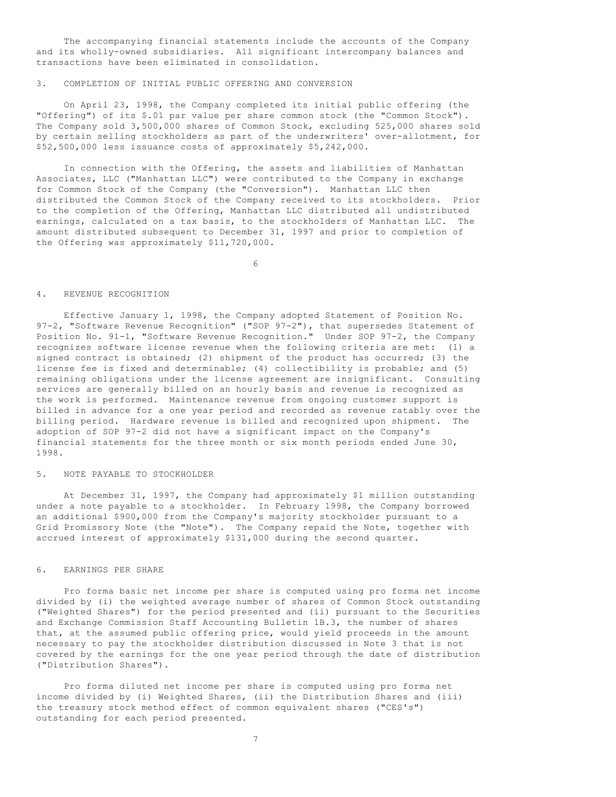The accompanying financial statements include the accounts of the Company and its wholly-owned subsidiaries. All significant intercompany balances and transactions have been eliminated in consolidation.

## 3. COMPLETION OF INITIAL PUBLIC OFFERING AND CONVERSION

 On April 23, 1998, the Company completed its initial public offering (the "Offering") of its \$.01 par value per share common stock (the "Common Stock"). The Company sold 3,500,000 shares of Common Stock, excluding 525,000 shares sold by certain selling stockholders as part of the underwriters' over-allotment, for \$52,500,000 less issuance costs of approximately \$5,242,000.

 In connection with the Offering, the assets and liabilities of Manhattan Associates, LLC ("Manhattan LLC") were contributed to the Company in exchange for Common Stock of the Company (the "Conversion"). Manhattan LLC then distributed the Common Stock of the Company received to its stockholders. Prior to the completion of the Offering, Manhattan LLC distributed all undistributed earnings, calculated on a tax basis, to the stockholders of Manhattan LLC. The amount distributed subsequent to December 31, 1997 and prior to completion of the Offering was approximately \$11,720,000.

 $\sim$  6

## 4. REVENUE RECOGNITION

 Effective January 1, 1998, the Company adopted Statement of Position No. 97-2, "Software Revenue Recognition" ("SOP 97-2"), that supersedes Statement of Position No. 91-1, "Software Revenue Recognition." Under SOP 97-2, the Company recognizes software license revenue when the following criteria are met: (1) a signed contract is obtained; (2) shipment of the product has occurred; (3) the license fee is fixed and determinable; (4) collectibility is probable; and (5) remaining obligations under the license agreement are insignificant. Consulting services are generally billed on an hourly basis and revenue is recognized as the work is performed. Maintenance revenue from ongoing customer support is billed in advance for a one year period and recorded as revenue ratably over the billing period. Hardware revenue is billed and recognized upon shipment. The adoption of SOP 97-2 did not have a significant impact on the Company's financial statements for the three month or six month periods ended June 30, 1998.

## 5. NOTE PAYABLE TO STOCKHOLDER

 At December 31, 1997, the Company had approximately \$1 million outstanding under a note payable to a stockholder. In February 1998, the Company borrowed an additional \$900,000 from the Company's majority stockholder pursuant to a Grid Promissory Note (the "Note"). The Company repaid the Note, together with accrued interest of approximately \$131,000 during the second quarter.

## 6. EARNINGS PER SHARE

 Pro forma basic net income per share is computed using pro forma net income divided by (i) the weighted average number of shares of Common Stock outstanding ("Weighted Shares") for the period presented and (ii) pursuant to the Securities and Exchange Commission Staff Accounting Bulletin 1B.3, the number of shares that, at the assumed public offering price, would yield proceeds in the amount necessary to pay the stockholder distribution discussed in Note 3 that is not covered by the earnings for the one year period through the date of distribution ("Distribution Shares").

 Pro forma diluted net income per share is computed using pro forma net income divided by (i) Weighted Shares, (ii) the Distribution Shares and (iii) the treasury stock method effect of common equivalent shares ("CES's") outstanding for each period presented.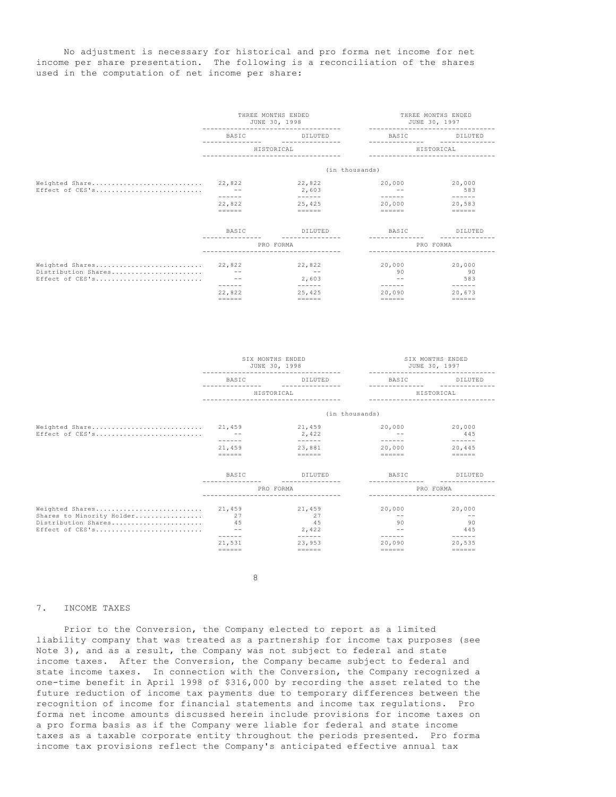No adjustment is necessary for historical and pro forma net income for net income per share presentation. The following is a reconciliation of the shares used in the computation of net income per share:

|                                                                  | THREE MONTHS ENDED<br>JUNE 30, 1998<br>------------------------- |                                                                                                                                                                                                                                                                                                                                                                                                                 | THREE MONTHS ENDED<br>JUNE 30, 1997<br>--------------------- |                                                                                                                                                                                                                                                                                                                                                                                                                                                                                                         |  |
|------------------------------------------------------------------|------------------------------------------------------------------|-----------------------------------------------------------------------------------------------------------------------------------------------------------------------------------------------------------------------------------------------------------------------------------------------------------------------------------------------------------------------------------------------------------------|--------------------------------------------------------------|---------------------------------------------------------------------------------------------------------------------------------------------------------------------------------------------------------------------------------------------------------------------------------------------------------------------------------------------------------------------------------------------------------------------------------------------------------------------------------------------------------|--|
|                                                                  | <b>BASIC</b>                                                     | DILUTED                                                                                                                                                                                                                                                                                                                                                                                                         | <b>BASIC</b>                                                 | DILUTED                                                                                                                                                                                                                                                                                                                                                                                                                                                                                                 |  |
|                                                                  | HISTORICAL<br>_____________________________                      |                                                                                                                                                                                                                                                                                                                                                                                                                 | HISTORICAL                                                   |                                                                                                                                                                                                                                                                                                                                                                                                                                                                                                         |  |
|                                                                  |                                                                  | (in thousands)                                                                                                                                                                                                                                                                                                                                                                                                  |                                                              |                                                                                                                                                                                                                                                                                                                                                                                                                                                                                                         |  |
| Weighted Share 22,822<br>Effect of CES's                         | ------                                                           | 22,822<br>2,603<br>$\frac{1}{2} \frac{1}{2} \frac{1}{2} \frac{1}{2} \frac{1}{2} \frac{1}{2} \frac{1}{2} \frac{1}{2} \frac{1}{2} \frac{1}{2} \frac{1}{2} \frac{1}{2} \frac{1}{2} \frac{1}{2} \frac{1}{2} \frac{1}{2} \frac{1}{2} \frac{1}{2} \frac{1}{2} \frac{1}{2} \frac{1}{2} \frac{1}{2} \frac{1}{2} \frac{1}{2} \frac{1}{2} \frac{1}{2} \frac{1}{2} \frac{1}{2} \frac{1}{2} \frac{1}{2} \frac{1}{2} \frac{$ | 20,000                                                       | 20,000<br>583<br>$\begin{array}{cccccccccccccc} \multicolumn{2}{c}{} & \multicolumn{2}{c}{} & \multicolumn{2}{c}{} & \multicolumn{2}{c}{} & \multicolumn{2}{c}{} & \multicolumn{2}{c}{} & \multicolumn{2}{c}{} & \multicolumn{2}{c}{} & \multicolumn{2}{c}{} & \multicolumn{2}{c}{} & \multicolumn{2}{c}{} & \multicolumn{2}{c}{} & \multicolumn{2}{c}{} & \multicolumn{2}{c}{} & \multicolumn{2}{c}{} & \multicolumn{2}{c}{} & \multicolumn{2}{c}{} & \multicolumn{2}{c}{} & \multicolumn{2}{c}{} & \$ |  |
|                                                                  | 22,822<br>$=$                                                    | 25,425<br>$\qquad \qquad \equiv \equiv \equiv \equiv \equiv \equiv$                                                                                                                                                                                                                                                                                                                                             | 20,000<br>$=$                                                | 20,583<br>$=$                                                                                                                                                                                                                                                                                                                                                                                                                                                                                           |  |
|                                                                  | <b>BASIC</b>                                                     | DILUTED                                                                                                                                                                                                                                                                                                                                                                                                         | <b>BASIC</b>                                                 | DILUTED                                                                                                                                                                                                                                                                                                                                                                                                                                                                                                 |  |
|                                                                  |                                                                  | PRO FORMA                                                                                                                                                                                                                                                                                                                                                                                                       |                                                              | PRO FORMA                                                                                                                                                                                                                                                                                                                                                                                                                                                                                               |  |
| Weighted Shares 22,822<br>Distribution Shares<br>Effect of CES's | <b>San Adams</b>                                                 | 22,822<br>$\sim$ $-$<br>2,603                                                                                                                                                                                                                                                                                                                                                                                   | 20,000<br>90<br>$\sim$ $-$                                   | 20,000<br>90<br>583                                                                                                                                                                                                                                                                                                                                                                                                                                                                                     |  |
|                                                                  | 22,822<br>$= = = = = =$                                          | 25,425<br>$=$                                                                                                                                                                                                                                                                                                                                                                                                   | $- - - - - -$<br>20,090                                      | 20,673<br>$= = = = = =$                                                                                                                                                                                                                                                                                                                                                                                                                                                                                 |  |

|                                                                                        | SIX MONTHS ENDED<br>JUNE 30, 1998   |                                              | SIX MONTHS ENDED<br>JUNE 30, 1997 |                                                                                                                                                                                                                                                                                                                                                                                                               |  |
|----------------------------------------------------------------------------------------|-------------------------------------|----------------------------------------------|-----------------------------------|---------------------------------------------------------------------------------------------------------------------------------------------------------------------------------------------------------------------------------------------------------------------------------------------------------------------------------------------------------------------------------------------------------------|--|
|                                                                                        | <b>BASIC</b>                        | DILUTED                                      | <b>BASIC</b>                      | DILUTED                                                                                                                                                                                                                                                                                                                                                                                                       |  |
|                                                                                        | HISTORICAL                          |                                              | HISTORICAL                        |                                                                                                                                                                                                                                                                                                                                                                                                               |  |
|                                                                                        |                                     | (in thousands)                               |                                   |                                                                                                                                                                                                                                                                                                                                                                                                               |  |
| Weighted Share<br>Effect of CES's                                                      | 21,459<br>$\sim$ $-$<br>- - - - - - | 21,459<br>2,422<br>$- - - - - -$             | 20,000<br>------                  | 20,000<br>445<br>$\frac{1}{2} \frac{1}{2} \frac{1}{2} \frac{1}{2} \frac{1}{2} \frac{1}{2} \frac{1}{2} \frac{1}{2} \frac{1}{2} \frac{1}{2} \frac{1}{2} \frac{1}{2} \frac{1}{2} \frac{1}{2} \frac{1}{2} \frac{1}{2} \frac{1}{2} \frac{1}{2} \frac{1}{2} \frac{1}{2} \frac{1}{2} \frac{1}{2} \frac{1}{2} \frac{1}{2} \frac{1}{2} \frac{1}{2} \frac{1}{2} \frac{1}{2} \frac{1}{2} \frac{1}{2} \frac{1}{2} \frac{$ |  |
|                                                                                        | 21,459<br>$=$                       | 23,881<br>$=$                                | 20,000<br>$=$                     | 20,445<br>$=$                                                                                                                                                                                                                                                                                                                                                                                                 |  |
|                                                                                        | <b>BASIC</b>                        | DILUTED                                      | <b>BASIC</b>                      | DILUTED                                                                                                                                                                                                                                                                                                                                                                                                       |  |
|                                                                                        |                                     | PRO FORMA                                    |                                   | PRO FORMA                                                                                                                                                                                                                                                                                                                                                                                                     |  |
| Weighted Shares<br>Shares to Minority Holder<br>Distribution Shares<br>Effect of CES's | 21,459<br>27<br>45<br>$\sim$ $-$    | 21,459<br>27<br>45<br>2,422<br>$\frac{1}{2}$ | 20,000<br>$- -$<br>90             | 20,000<br>$\sim$ $-$<br>90<br>445<br>$\cdots \cdots \cdots \cdots \cdots$                                                                                                                                                                                                                                                                                                                                     |  |
|                                                                                        | 21,531<br>$=$                       | 23,953<br>$=$                                | 20,090<br>$=$                     | 20,535<br>$=$                                                                                                                                                                                                                                                                                                                                                                                                 |  |

8

### 7. INCOME TAXES

 Prior to the Conversion, the Company elected to report as a limited liability company that was treated as a partnership for income tax purposes (see Note 3), and as a result, the Company was not subject to federal and state income taxes. After the Conversion, the Company became subject to federal and state income taxes. In connection with the Conversion, the Company recognized a one-time benefit in April 1998 of \$316,000 by recording the asset related to the future reduction of income tax payments due to temporary differences between the recognition of income for financial statements and income tax regulations. Pro forma net income amounts discussed herein include provisions for income taxes on a pro forma basis as if the Company were liable for federal and state income taxes as a taxable corporate entity throughout the periods presented. Pro forma income tax provisions reflect the Company's anticipated effective annual tax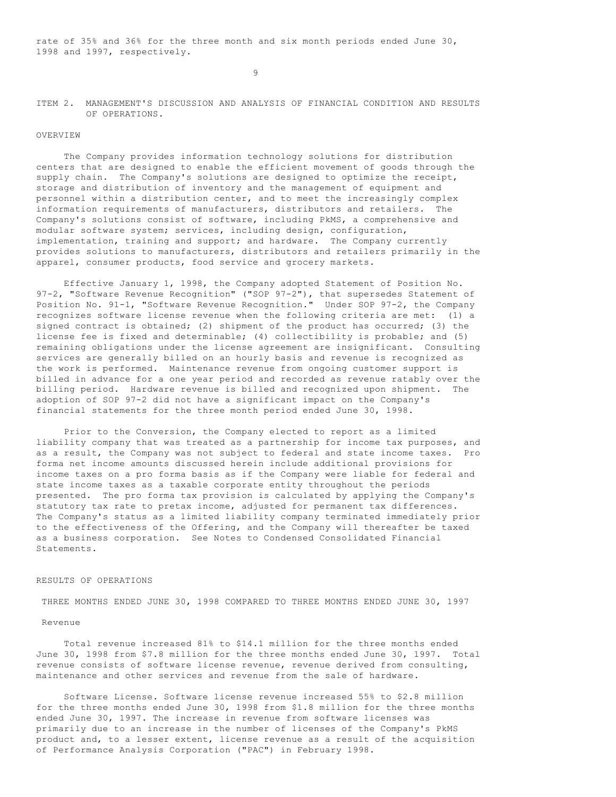rate of 35% and 36% for the three month and six month periods ended June 30, 1998 and 1997, respectively.

9

## ITEM 2. MANAGEMENT'S DISCUSSION AND ANALYSIS OF FINANCIAL CONDITION AND RESULTS OF OPERATIONS.

## OVERVIEW

 The Company provides information technology solutions for distribution centers that are designed to enable the efficient movement of goods through the supply chain. The Company's solutions are designed to optimize the receipt, storage and distribution of inventory and the management of equipment and personnel within a distribution center, and to meet the increasingly complex information requirements of manufacturers, distributors and retailers. The Company's solutions consist of software, including PkMS, a comprehensive and modular software system; services, including design, configuration, implementation, training and support; and hardware. The Company currently provides solutions to manufacturers, distributors and retailers primarily in the apparel, consumer products, food service and grocery markets.

 Effective January 1, 1998, the Company adopted Statement of Position No. 97-2, "Software Revenue Recognition" ("SOP 97-2"), that supersedes Statement of Position No. 91-1, "Software Revenue Recognition." Under SOP 97-2, the Company recognizes software license revenue when the following criteria are met: (1) a signed contract is obtained; (2) shipment of the product has occurred; (3) the license fee is fixed and determinable; (4) collectibility is probable; and (5) remaining obligations under the license agreement are insignificant. Consulting services are generally billed on an hourly basis and revenue is recognized as the work is performed. Maintenance revenue from ongoing customer support is billed in advance for a one year period and recorded as revenue ratably over the billing period. Hardware revenue is billed and recognized upon shipment. The adoption of SOP 97-2 did not have a significant impact on the Company's financial statements for the three month period ended June 30, 1998.

 Prior to the Conversion, the Company elected to report as a limited liability company that was treated as a partnership for income tax purposes, and as a result, the Company was not subject to federal and state income taxes. Pro forma net income amounts discussed herein include additional provisions for income taxes on a pro forma basis as if the Company were liable for federal and state income taxes as a taxable corporate entity throughout the periods presented. The pro forma tax provision is calculated by applying the Company's statutory tax rate to pretax income, adjusted for permanent tax differences. The Company's status as a limited liability company terminated immediately prior to the effectiveness of the Offering, and the Company will thereafter be taxed as a business corporation. See Notes to Condensed Consolidated Financial Statements.

## RESULTS OF OPERATIONS

THREE MONTHS ENDED JUNE 30, 1998 COMPARED TO THREE MONTHS ENDED JUNE 30, 1997

#### Revenue

 Total revenue increased 81% to \$14.1 million for the three months ended June 30, 1998 from \$7.8 million for the three months ended June 30, 1997. Total revenue consists of software license revenue, revenue derived from consulting, maintenance and other services and revenue from the sale of hardware.

 Software License. Software license revenue increased 55% to \$2.8 million for the three months ended June 30, 1998 from \$1.8 million for the three months ended June 30, 1997. The increase in revenue from software licenses was primarily due to an increase in the number of licenses of the Company's PkMS product and, to a lesser extent, license revenue as a result of the acquisition of Performance Analysis Corporation ("PAC") in February 1998.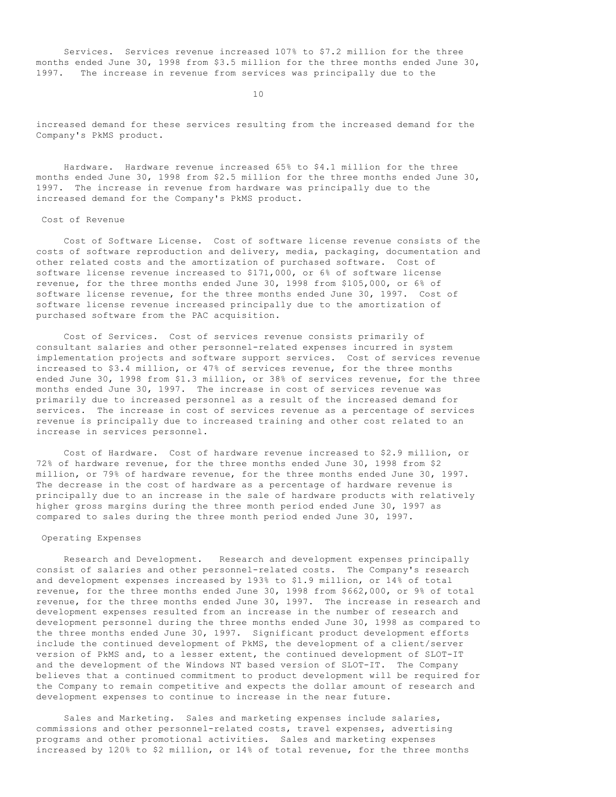Services. Services revenue increased 107% to \$7.2 million for the three months ended June 30, 1998 from \$3.5 million for the three months ended June 30, 1997. The increase in revenue from services was principally due to the

10

increased demand for these services resulting from the increased demand for the Company's PkMS product.

 Hardware. Hardware revenue increased 65% to \$4.1 million for the three months ended June 30, 1998 from \$2.5 million for the three months ended June 30, 1997. The increase in revenue from hardware was principally due to the increased demand for the Company's PkMS product.

## Cost of Revenue

 Cost of Software License. Cost of software license revenue consists of the costs of software reproduction and delivery, media, packaging, documentation and other related costs and the amortization of purchased software. Cost of software license revenue increased to \$171,000, or 6% of software license revenue, for the three months ended June 30, 1998 from \$105,000, or 6% of software license revenue, for the three months ended June 30, 1997. Cost of software license revenue increased principally due to the amortization of purchased software from the PAC acquisition.

 Cost of Services. Cost of services revenue consists primarily of consultant salaries and other personnel-related expenses incurred in system implementation projects and software support services. Cost of services revenue increased to \$3.4 million, or 47% of services revenue, for the three months ended June 30, 1998 from \$1.3 million, or 38% of services revenue, for the three months ended June 30, 1997. The increase in cost of services revenue was primarily due to increased personnel as a result of the increased demand for services. The increase in cost of services revenue as a percentage of services revenue is principally due to increased training and other cost related to an increase in services personnel.

 Cost of Hardware. Cost of hardware revenue increased to \$2.9 million, or 72% of hardware revenue, for the three months ended June 30, 1998 from \$2 million, or 79% of hardware revenue, for the three months ended June 30, 1997. The decrease in the cost of hardware as a percentage of hardware revenue is principally due to an increase in the sale of hardware products with relatively higher gross margins during the three month period ended June 30, 1997 as compared to sales during the three month period ended June 30, 1997.

## Operating Expenses

 Research and Development. Research and development expenses principally consist of salaries and other personnel-related costs. The Company's research and development expenses increased by 193% to \$1.9 million, or 14% of total revenue, for the three months ended June 30, 1998 from \$662,000, or 9% of total revenue, for the three months ended June 30, 1997. The increase in research and development expenses resulted from an increase in the number of research and development personnel during the three months ended June 30, 1998 as compared to the three months ended June 30, 1997. Significant product development efforts include the continued development of PkMS, the development of a client/server version of PkMS and, to a lesser extent, the continued development of SLOT-IT and the development of the Windows NT based version of SLOT-IT. The Company believes that a continued commitment to product development will be required for the Company to remain competitive and expects the dollar amount of research and development expenses to continue to increase in the near future.

 Sales and Marketing. Sales and marketing expenses include salaries, commissions and other personnel-related costs, travel expenses, advertising programs and other promotional activities. Sales and marketing expenses increased by 120% to \$2 million, or 14% of total revenue, for the three months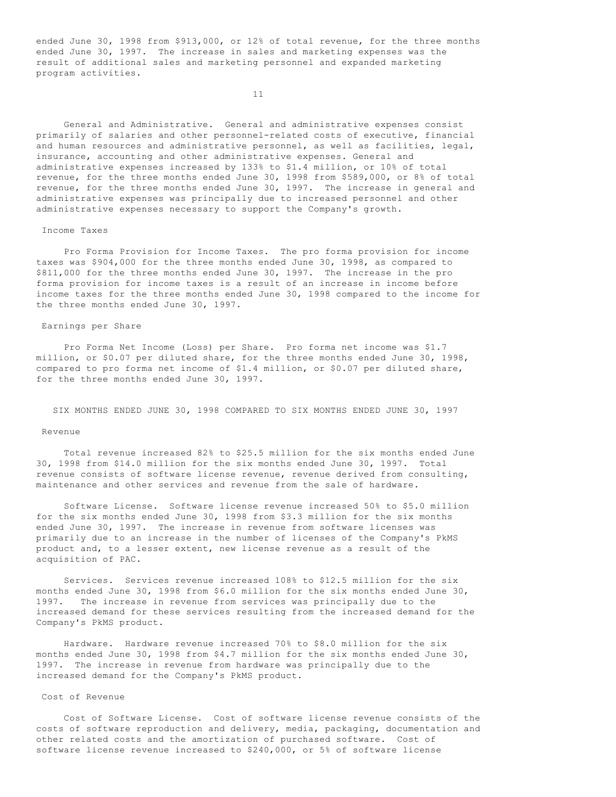ended June 30, 1998 from \$913,000, or 12% of total revenue, for the three months ended June 30, 1997. The increase in sales and marketing expenses was the result of additional sales and marketing personnel and expanded marketing program activities.

11

 General and Administrative. General and administrative expenses consist primarily of salaries and other personnel-related costs of executive, financial and human resources and administrative personnel, as well as facilities, legal, insurance, accounting and other administrative expenses. General and administrative expenses increased by 133% to \$1.4 million, or 10% of total revenue, for the three months ended June 30, 1998 from \$589,000, or 8% of total revenue, for the three months ended June 30, 1997. The increase in general and administrative expenses was principally due to increased personnel and other administrative expenses necessary to support the Company's growth.

#### Income Taxes

 Pro Forma Provision for Income Taxes. The pro forma provision for income taxes was \$904,000 for the three months ended June 30, 1998, as compared to \$811,000 for the three months ended June 30, 1997. The increase in the pro forma provision for income taxes is a result of an increase in income before income taxes for the three months ended June 30, 1998 compared to the income for the three months ended June 30, 1997.

## Earnings per Share

 Pro Forma Net Income (Loss) per Share. Pro forma net income was \$1.7 million, or \$0.07 per diluted share, for the three months ended June 30, 1998, compared to pro forma net income of \$1.4 million, or \$0.07 per diluted share, for the three months ended June 30, 1997.

SIX MONTHS ENDED JUNE 30, 1998 COMPARED TO SIX MONTHS ENDED JUNE 30, 1997

## Revenue

 Total revenue increased 82% to \$25.5 million for the six months ended June 30, 1998 from \$14.0 million for the six months ended June 30, 1997. Total revenue consists of software license revenue, revenue derived from consulting, maintenance and other services and revenue from the sale of hardware.

 Software License. Software license revenue increased 50% to \$5.0 million for the six months ended June 30, 1998 from \$3.3 million for the six months ended June 30, 1997. The increase in revenue from software licenses was primarily due to an increase in the number of licenses of the Company's PkMS product and, to a lesser extent, new license revenue as a result of the acquisition of PAC.

 Services. Services revenue increased 108% to \$12.5 million for the six months ended June 30, 1998 from \$6.0 million for the six months ended June 30, 1997. The increase in revenue from services was principally due to the increased demand for these services resulting from the increased demand for the Company's PkMS product.

 Hardware. Hardware revenue increased 70% to \$8.0 million for the six months ended June 30, 1998 from \$4.7 million for the six months ended June 30, 1997. The increase in revenue from hardware was principally due to the increased demand for the Company's PkMS product.

## Cost of Revenue

 Cost of Software License. Cost of software license revenue consists of the costs of software reproduction and delivery, media, packaging, documentation and other related costs and the amortization of purchased software. Cost of software license revenue increased to \$240,000, or 5% of software license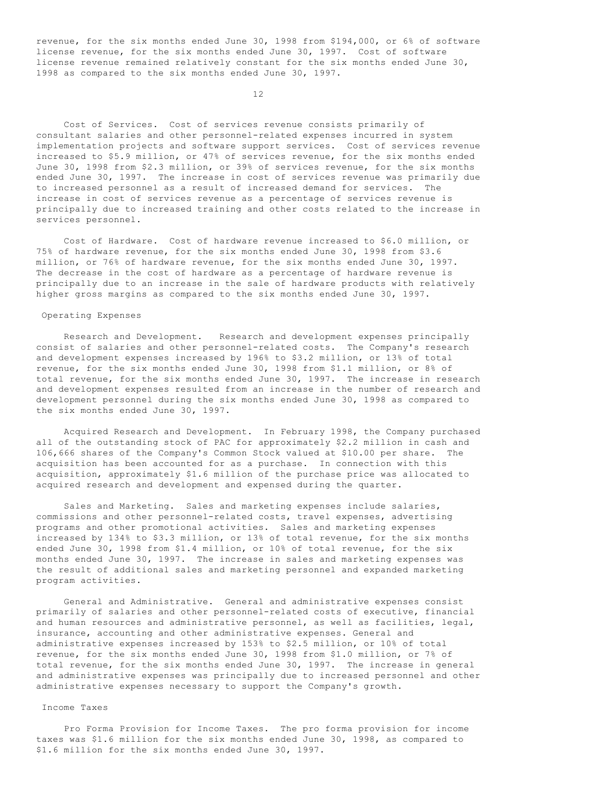revenue, for the six months ended June 30, 1998 from \$194,000, or 6% of software license revenue, for the six months ended June 30, 1997. Cost of software license revenue remained relatively constant for the six months ended June 30, 1998 as compared to the six months ended June 30, 1997.

12

 Cost of Services. Cost of services revenue consists primarily of consultant salaries and other personnel-related expenses incurred in system implementation projects and software support services. Cost of services revenue increased to \$5.9 million, or 47% of services revenue, for the six months ended June 30, 1998 from \$2.3 million, or 39% of services revenue, for the six months ended June 30, 1997. The increase in cost of services revenue was primarily due to increased personnel as a result of increased demand for services. The increase in cost of services revenue as a percentage of services revenue is principally due to increased training and other costs related to the increase in services personnel.

 Cost of Hardware. Cost of hardware revenue increased to \$6.0 million, or 75% of hardware revenue, for the six months ended June 30, 1998 from \$3.6 million, or 76% of hardware revenue, for the six months ended June 30, 1997. The decrease in the cost of hardware as a percentage of hardware revenue is principally due to an increase in the sale of hardware products with relatively higher gross margins as compared to the six months ended June 30, 1997.

### Operating Expenses

 Research and Development. Research and development expenses principally consist of salaries and other personnel-related costs. The Company's research and development expenses increased by 196% to \$3.2 million, or 13% of total revenue, for the six months ended June 30, 1998 from \$1.1 million, or 8% of total revenue, for the six months ended June 30, 1997. The increase in research and development expenses resulted from an increase in the number of research and development personnel during the six months ended June 30, 1998 as compared to the six months ended June 30, 1997.

 Acquired Research and Development. In February 1998, the Company purchased all of the outstanding stock of PAC for approximately \$2.2 million in cash and 106,666 shares of the Company's Common Stock valued at \$10.00 per share. The acquisition has been accounted for as a purchase. In connection with this acquisition, approximately \$1.6 million of the purchase price was allocated to acquired research and development and expensed during the quarter.

 Sales and Marketing. Sales and marketing expenses include salaries, commissions and other personnel-related costs, travel expenses, advertising programs and other promotional activities. Sales and marketing expenses increased by 134% to \$3.3 million, or 13% of total revenue, for the six months ended June 30, 1998 from \$1.4 million, or 10% of total revenue, for the six months ended June 30, 1997. The increase in sales and marketing expenses was the result of additional sales and marketing personnel and expanded marketing program activities.

 General and Administrative. General and administrative expenses consist primarily of salaries and other personnel-related costs of executive, financial and human resources and administrative personnel, as well as facilities, legal, insurance, accounting and other administrative expenses. General and administrative expenses increased by 153% to \$2.5 million, or 10% of total revenue, for the six months ended June 30, 1998 from \$1.0 million, or 7% of total revenue, for the six months ended June 30, 1997. The increase in general and administrative expenses was principally due to increased personnel and other administrative expenses necessary to support the Company's growth.

### Income Taxes

 Pro Forma Provision for Income Taxes. The pro forma provision for income taxes was \$1.6 million for the six months ended June 30, 1998, as compared to \$1.6 million for the six months ended June 30, 1997.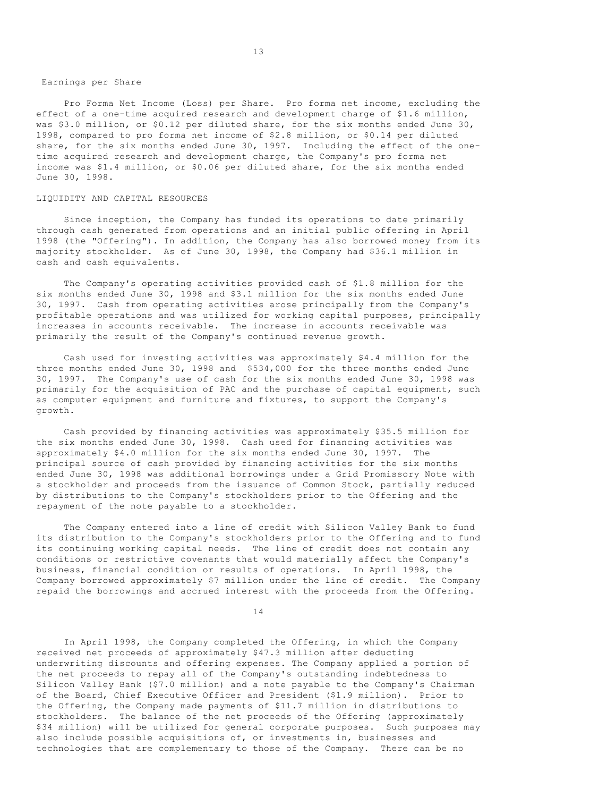### Earnings per Share

 Pro Forma Net Income (Loss) per Share. Pro forma net income, excluding the effect of a one-time acquired research and development charge of \$1.6 million, was \$3.0 million, or \$0.12 per diluted share, for the six months ended June 30, 1998, compared to pro forma net income of \$2.8 million, or \$0.14 per diluted share, for the six months ended June 30, 1997. Including the effect of the onetime acquired research and development charge, the Company's pro forma net income was \$1.4 million, or \$0.06 per diluted share, for the six months ended June 30, 1998.

### LIQUIDITY AND CAPITAL RESOURCES

 Since inception, the Company has funded its operations to date primarily through cash generated from operations and an initial public offering in April 1998 (the "Offering"). In addition, the Company has also borrowed money from its majority stockholder. As of June 30, 1998, the Company had \$36.1 million in cash and cash equivalents.

 The Company's operating activities provided cash of \$1.8 million for the six months ended June 30, 1998 and \$3.1 million for the six months ended June 30, 1997. Cash from operating activities arose principally from the Company's profitable operations and was utilized for working capital purposes, principally increases in accounts receivable. The increase in accounts receivable was primarily the result of the Company's continued revenue growth.

 Cash used for investing activities was approximately \$4.4 million for the three months ended June 30, 1998 and \$534,000 for the three months ended June 30, 1997. The Company's use of cash for the six months ended June 30, 1998 was primarily for the acquisition of PAC and the purchase of capital equipment, such as computer equipment and furniture and fixtures, to support the Company's growth.

 Cash provided by financing activities was approximately \$35.5 million for the six months ended June 30, 1998. Cash used for financing activities was approximately \$4.0 million for the six months ended June 30, 1997. The principal source of cash provided by financing activities for the six months ended June 30, 1998 was additional borrowings under a Grid Promissory Note with a stockholder and proceeds from the issuance of Common Stock, partially reduced by distributions to the Company's stockholders prior to the Offering and the repayment of the note payable to a stockholder.

 The Company entered into a line of credit with Silicon Valley Bank to fund its distribution to the Company's stockholders prior to the Offering and to fund its continuing working capital needs. The line of credit does not contain any conditions or restrictive covenants that would materially affect the Company's business, financial condition or results of operations. In April 1998, the Company borrowed approximately \$7 million under the line of credit. The Company repaid the borrowings and accrued interest with the proceeds from the Offering.

14

 In April 1998, the Company completed the Offering, in which the Company received net proceeds of approximately \$47.3 million after deducting underwriting discounts and offering expenses. The Company applied a portion of the net proceeds to repay all of the Company's outstanding indebtedness to Silicon Valley Bank (\$7.0 million) and a note payable to the Company's Chairman of the Board, Chief Executive Officer and President (\$1.9 million). Prior to the Offering, the Company made payments of \$11.7 million in distributions to stockholders. The balance of the net proceeds of the Offering (approximately \$34 million) will be utilized for general corporate purposes. Such purposes may also include possible acquisitions of, or investments in, businesses and technologies that are complementary to those of the Company. There can be no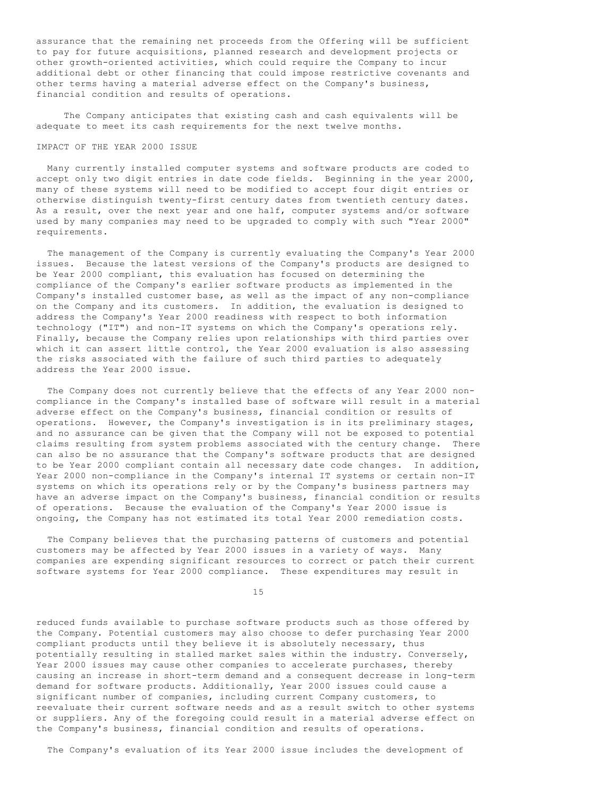assurance that the remaining net proceeds from the Offering will be sufficient to pay for future acquisitions, planned research and development projects or other growth-oriented activities, which could require the Company to incur additional debt or other financing that could impose restrictive covenants and other terms having a material adverse effect on the Company's business, financial condition and results of operations.

 The Company anticipates that existing cash and cash equivalents will be adequate to meet its cash requirements for the next twelve months.

## IMPACT OF THE YEAR 2000 ISSUE

 Many currently installed computer systems and software products are coded to accept only two digit entries in date code fields. Beginning in the year 2000, many of these systems will need to be modified to accept four digit entries or otherwise distinguish twenty-first century dates from twentieth century dates. As a result, over the next year and one half, computer systems and/or software used by many companies may need to be upgraded to comply with such "Year 2000" requirements.

 The management of the Company is currently evaluating the Company's Year 2000 issues. Because the latest versions of the Company's products are designed to be Year 2000 compliant, this evaluation has focused on determining the compliance of the Company's earlier software products as implemented in the Company's installed customer base, as well as the impact of any non-compliance on the Company and its customers. In addition, the evaluation is designed to address the Company's Year 2000 readiness with respect to both information technology ("IT") and non-IT systems on which the Company's operations rely. Finally, because the Company relies upon relationships with third parties over which it can assert little control, the Year 2000 evaluation is also assessing the risks associated with the failure of such third parties to adequately address the Year 2000 issue.

 The Company does not currently believe that the effects of any Year 2000 noncompliance in the Company's installed base of software will result in a material adverse effect on the Company's business, financial condition or results of operations. However, the Company's investigation is in its preliminary stages, and no assurance can be given that the Company will not be exposed to potential claims resulting from system problems associated with the century change. There can also be no assurance that the Company's software products that are designed to be Year 2000 compliant contain all necessary date code changes. In addition, Year 2000 non-compliance in the Company's internal IT systems or certain non-IT systems on which its operations rely or by the Company's business partners may have an adverse impact on the Company's business, financial condition or results of operations. Because the evaluation of the Company's Year 2000 issue is ongoing, the Company has not estimated its total Year 2000 remediation costs.

 The Company believes that the purchasing patterns of customers and potential customers may be affected by Year 2000 issues in a variety of ways. Many companies are expending significant resources to correct or patch their current software systems for Year 2000 compliance. These expenditures may result in

15

reduced funds available to purchase software products such as those offered by the Company. Potential customers may also choose to defer purchasing Year 2000 compliant products until they believe it is absolutely necessary, thus potentially resulting in stalled market sales within the industry. Conversely, Year 2000 issues may cause other companies to accelerate purchases, thereby causing an increase in short-term demand and a consequent decrease in long-term demand for software products. Additionally, Year 2000 issues could cause a significant number of companies, including current Company customers, to reevaluate their current software needs and as a result switch to other systems or suppliers. Any of the foregoing could result in a material adverse effect on the Company's business, financial condition and results of operations.

The Company's evaluation of its Year 2000 issue includes the development of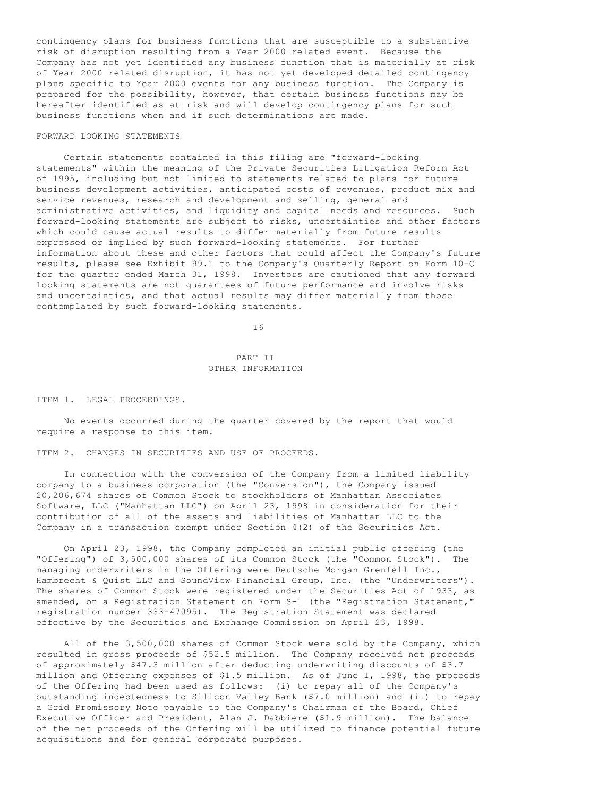contingency plans for business functions that are susceptible to a substantive risk of disruption resulting from a Year 2000 related event. Because the Company has not yet identified any business function that is materially at risk of Year 2000 related disruption, it has not yet developed detailed contingency plans specific to Year 2000 events for any business function. The Company is prepared for the possibility, however, that certain business functions may be hereafter identified as at risk and will develop contingency plans for such business functions when and if such determinations are made.

## FORWARD LOOKING STATEMENTS

 Certain statements contained in this filing are "forward-looking statements" within the meaning of the Private Securities Litigation Reform Act of 1995, including but not limited to statements related to plans for future business development activities, anticipated costs of revenues, product mix and service revenues, research and development and selling, general and administrative activities, and liquidity and capital needs and resources. Such forward-looking statements are subject to risks, uncertainties and other factors which could cause actual results to differ materially from future results expressed or implied by such forward-looking statements. For further information about these and other factors that could affect the Company's future results, please see Exhibit 99.1 to the Company's Quarterly Report on Form 10-Q for the quarter ended March 31, 1998. Investors are cautioned that any forward looking statements are not guarantees of future performance and involve risks and uncertainties, and that actual results may differ materially from those contemplated by such forward-looking statements.

16

## PART II OTHER INFORMATION

ITEM 1. LEGAL PROCEEDINGS.

 No events occurred during the quarter covered by the report that would require a response to this item.

ITEM 2. CHANGES IN SECURITIES AND USE OF PROCEEDS.

 In connection with the conversion of the Company from a limited liability company to a business corporation (the "Conversion"), the Company issued 20,206,674 shares of Common Stock to stockholders of Manhattan Associates Software, LLC ("Manhattan LLC") on April 23, 1998 in consideration for their contribution of all of the assets and liabilities of Manhattan LLC to the Company in a transaction exempt under Section 4(2) of the Securities Act.

 On April 23, 1998, the Company completed an initial public offering (the "Offering") of 3,500,000 shares of its Common Stock (the "Common Stock"). The managing underwriters in the Offering were Deutsche Morgan Grenfell Inc., Hambrecht & Quist LLC and SoundView Financial Group, Inc. (the "Underwriters"). The shares of Common Stock were registered under the Securities Act of 1933, as amended, on a Registration Statement on Form S-1 (the "Registration Statement," registration number 333-47095). The Registration Statement was declared effective by the Securities and Exchange Commission on April 23, 1998.

 All of the 3,500,000 shares of Common Stock were sold by the Company, which resulted in gross proceeds of \$52.5 million. The Company received net proceeds of approximately \$47.3 million after deducting underwriting discounts of \$3.7 million and Offering expenses of \$1.5 million. As of June 1, 1998, the proceeds of the Offering had been used as follows: (i) to repay all of the Company's outstanding indebtedness to Silicon Valley Bank (\$7.0 million) and (ii) to repay a Grid Promissory Note payable to the Company's Chairman of the Board, Chief Executive Officer and President, Alan J. Dabbiere (\$1.9 million). The balance of the net proceeds of the Offering will be utilized to finance potential future acquisitions and for general corporate purposes.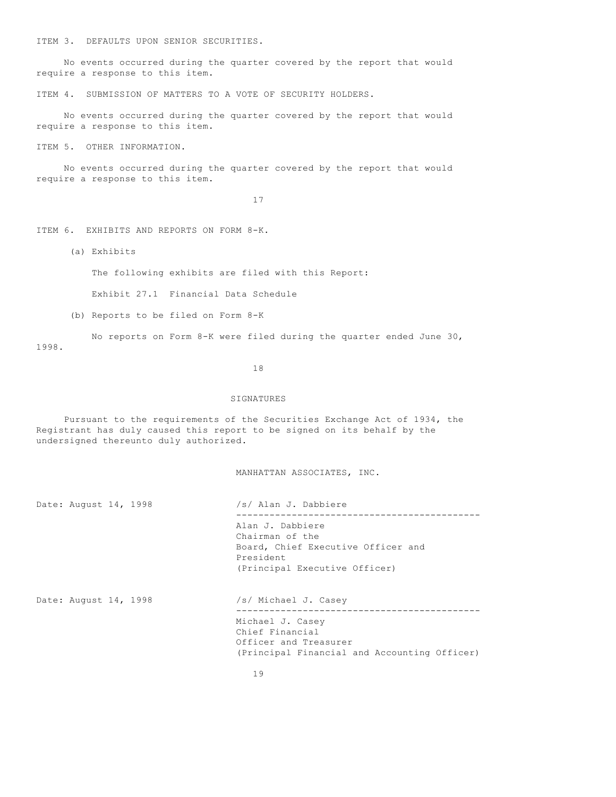ITEM 3. DEFAULTS UPON SENIOR SECURITIES.

 No events occurred during the quarter covered by the report that would require a response to this item.

ITEM 4. SUBMISSION OF MATTERS TO A VOTE OF SECURITY HOLDERS.

 No events occurred during the quarter covered by the report that would require a response to this item.

ITEM 5. OTHER INFORMATION.

 No events occurred during the quarter covered by the report that would require a response to this item.

17

ITEM 6. EXHIBITS AND REPORTS ON FORM 8-K.

(a) Exhibits

The following exhibits are filed with this Report:

Exhibit 27.1 Financial Data Schedule

(b) Reports to be filed on Form 8-K

 No reports on Form 8-K were filed during the quarter ended June 30, 1998.

18

### SIGNATURES

 Pursuant to the requirements of the Securities Exchange Act of 1934, the Registrant has duly caused this report to be signed on its behalf by the undersigned thereunto duly authorized.

## MANHATTAN ASSOCIATES, INC.

| Date: August 14, 1998 |  |  | /s/ Alan J. Dabbiere |
|-----------------------|--|--|----------------------|
|                       |  |  |                      |

 -------------------------------------------- Alan J. Dabbiere Chairman of the Board, Chief Executive Officer and President (Principal Executive Officer)

Date: August 14, 1998 /s/ Michael J. Casey

 -------------------------------------------- Michael J. Casey Chief Financial Officer and Treasurer (Principal Financial and Accounting Officer)